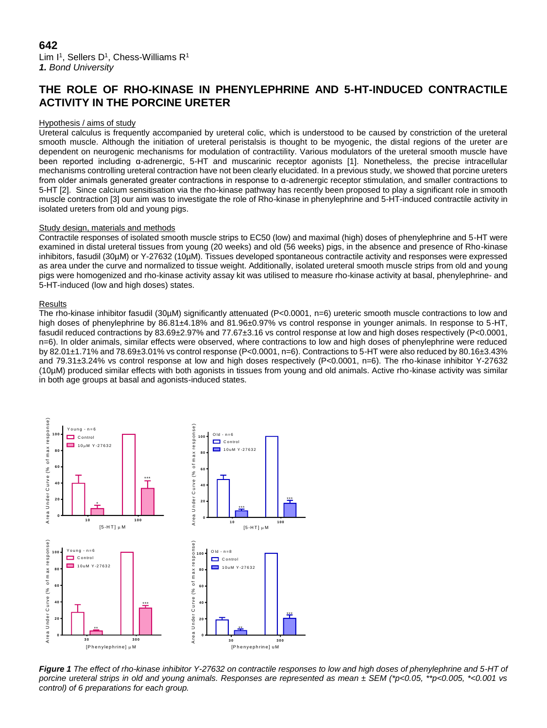Lim I<sup>1</sup>, Sellers D<sup>1</sup>, Chess-Williams R<sup>1</sup> *1. Bond University*

# **THE ROLE OF RHO-KINASE IN PHENYLEPHRINE AND 5-HT-INDUCED CONTRACTILE ACTIVITY IN THE PORCINE URETER**

# Hypothesis / aims of study

Ureteral calculus is frequently accompanied by ureteral colic, which is understood to be caused by constriction of the ureteral smooth muscle. Although the initiation of ureteral peristalsis is thought to be myogenic, the distal regions of the ureter are dependent on neurogenic mechanisms for modulation of contractility. Various modulators of the ureteral smooth muscle have been reported including α-adrenergic, 5-HT and muscarinic receptor agonists [1]. Nonetheless, the precise intracellular mechanisms controlling ureteral contraction have not been clearly elucidated. In a previous study, we showed that porcine ureters from older animals generated greater contractions in response to α-adrenergic receptor stimulation, and smaller contractions to 5-HT [2]. Since calcium sensitisation via the rho-kinase pathway has recently been proposed to play a significant role in smooth muscle contraction [3] our aim was to investigate the role of Rho-kinase in phenylephrine and 5-HT-induced contractile activity in isolated ureters from old and young pigs.

## Study design, materials and methods

Contractile responses of isolated smooth muscle strips to EC50 (low) and maximal (high) doses of phenylephrine and 5-HT were examined in distal ureteral tissues from young (20 weeks) and old (56 weeks) pigs, in the absence and presence of Rho-kinase inhibitors, fasudil (30µM) or Y-27632 (10µM). Tissues developed spontaneous contractile activity and responses were expressed as area under the curve and normalized to tissue weight. Additionally, isolated ureteral smooth muscle strips from old and young pigs were homogenized and rho-kinase activity assay kit was utilised to measure rho-kinase activity at basal, phenylephrine- and 5-HT-induced (low and high doses) states.

## Results

The rho-kinase inhibitor fasudil (30µM) significantly attenuated (P<0.0001, n=6) ureteric smooth muscle contractions to low and high doses of phenylephrine by 86.81±4.18% and 81.96±0.97% vs control response in younger animals. In response to 5-HT, fasudil reduced contractions by 83.69±2.97% and 77.67±3.16 vs control response at low and high doses respectively (P<0.0001, n=6). In older animals, similar effects were observed, where contractions to low and high doses of phenylephrine were reduced by 82.01±1.71% and 78.69±3.01% vs control response (P<0.0001, n=6). Contractions to 5-HT were also reduced by 80.16±3.43% and 79.31±3.24% vs control response at low and high doses respectively (P<0.0001, n=6). The rho-kinase inhibitor Y-27632 (10µM) produced similar effects with both agonists in tissues from young and old animals. Active rho-kinase activity was similar in both age groups at basal and agonists-induced states.



*Figure 1 The effect of rho-kinase inhibitor Y-27632 on contractile responses to low and high doses of phenylephrine and 5-HT of porcine ureteral strips in old and young animals. Responses are represented as mean ± SEM (\*p<0.05, \*\*p<0.005, \*<0.001 vs control) of 6 preparations for each group.*